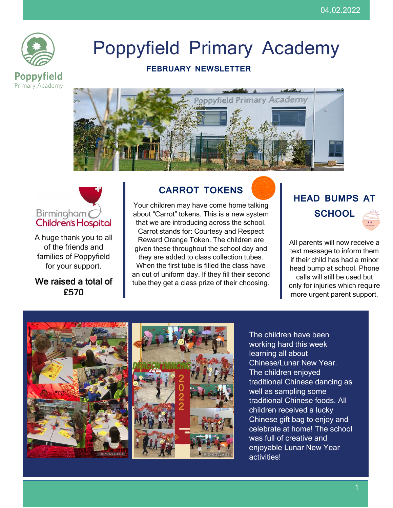

# Poppyfield Primary Academy

## **FEBRUARY NEWSLETTER**





A huge thank you to all of the friends and families of Poppyfield for your support.

## We raised a total of £570

# **CARROT TOKENS**

Your children may have come home talking about "Carrot" tokens. This is a new system that we are introducing across the school. Carrot stands for: Courtesy and Respect Reward Orange Token. The children are given these throughout the school day and they are added to class collection tubes. When the first tube is filled the class have an out of uniform day. If they fill their second tube they get a class prize of their choosing.

# **HEAD BUMPS AT SCHOOL**

All parents will now receive a text message to inform them if their child has had a minor head bump at school. Phone calls will still be used but only for injuries which require more urgent parent support.



The children have been working hard this week learning all about Chinese/Lunar New Year. The children enjoyed traditional Chinese dancing as well as sampling some traditional Chinese foods. All children received a lucky Chinese gift bag to enjoy and celebrate at home! The school was full of creative and enjoyable Lunar New Year activities!